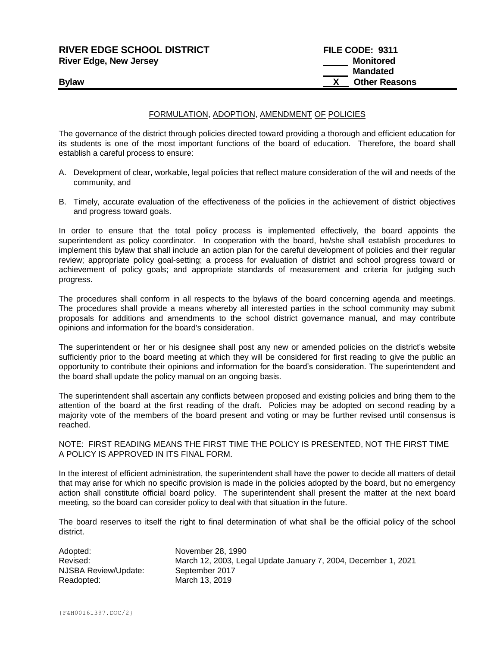| <b>RIVER EDGE SCHOOL DISTRICT</b><br><b>River Edge, New Jersey</b> | FILE CODE: 9311<br><b>Monitored</b> |
|--------------------------------------------------------------------|-------------------------------------|
|                                                                    | <b>Mandated</b>                     |
| <b>Bylaw</b>                                                       | <b>Other Reasons</b>                |

## FORMULATION, ADOPTION, AMENDMENT OF POLICIES

The governance of the district through policies directed toward providing a thorough and efficient education for its students is one of the most important functions of the board of education. Therefore, the board shall establish a careful process to ensure:

- A. Development of clear, workable, legal policies that reflect mature consideration of the will and needs of the community, and
- B. Timely, accurate evaluation of the effectiveness of the policies in the achievement of district objectives and progress toward goals.

In order to ensure that the total policy process is implemented effectively, the board appoints the superintendent as policy coordinator. In cooperation with the board, he/she shall establish procedures to implement this bylaw that shall include an action plan for the careful development of policies and their regular review; appropriate policy goal-setting; a process for evaluation of district and school progress toward or achievement of policy goals; and appropriate standards of measurement and criteria for judging such progress.

The procedures shall conform in all respects to the bylaws of the board concerning agenda and meetings. The procedures shall provide a means whereby all interested parties in the school community may submit proposals for additions and amendments to the school district governance manual, and may contribute opinions and information for the board's consideration.

The superintendent or her or his designee shall post any new or amended policies on the district's website sufficiently prior to the board meeting at which they will be considered for first reading to give the public an opportunity to contribute their opinions and information for the board's consideration. The superintendent and the board shall update the policy manual on an ongoing basis.

The superintendent shall ascertain any conflicts between proposed and existing policies and bring them to the attention of the board at the first reading of the draft. Policies may be adopted on second reading by a majority vote of the members of the board present and voting or may be further revised until consensus is reached.

## NOTE: FIRST READING MEANS THE FIRST TIME THE POLICY IS PRESENTED, NOT THE FIRST TIME A POLICY IS APPROVED IN ITS FINAL FORM.

In the interest of efficient administration, the superintendent shall have the power to decide all matters of detail that may arise for which no specific provision is made in the policies adopted by the board, but no emergency action shall constitute official board policy. The superintendent shall present the matter at the next board meeting, so the board can consider policy to deal with that situation in the future.

The board reserves to itself the right to final determination of what shall be the official policy of the school district.

| Adopted:             | November 28, 1990                                              |
|----------------------|----------------------------------------------------------------|
| Revised:             | March 12, 2003, Legal Update January 7, 2004, December 1, 2021 |
| NJSBA Review/Update: | September 2017                                                 |
| Readopted:           | March 13, 2019                                                 |